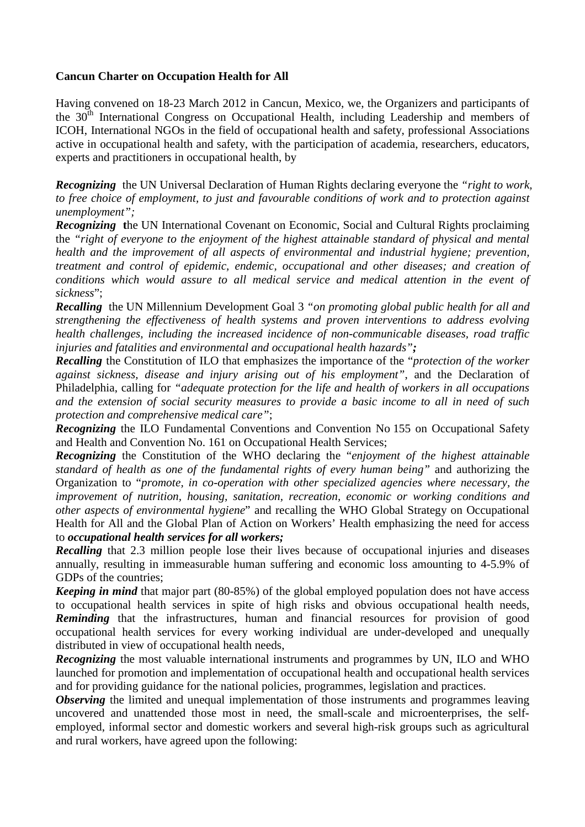## **Cancun Charter on Occupation Health for All**

Having convened on 18-23 March 2012 in Cancun, Mexico, we, the Organizers and participants of the  $30<sup>th</sup>$  International Congress on Occupational Health, including Leadership and members of ICOH, International NGOs in the field of occupational health and safety, professional Associations active in occupational health and safety, with the participation of academia, researchers, educators, experts and practitioners in occupational health, by

*Recognizing* the UN Universal Declaration of Human Rights declaring everyone the *"right to work, to free choice of employment, to just and favourable conditions of work and to protection against unemployment";* 

*Recognizing* **t**he UN International Covenant on Economic, Social and Cultural Rights proclaiming the *"right of everyone to the enjoyment of the highest attainable standard of physical and mental health and the improvement of all aspects of environmental and industrial hygiene; prevention, treatment and control of epidemic, endemic, occupational and other diseases; and creation of conditions which would assure to all medical service and medical attention in the event of sickness*";

*Recalling* the UN Millennium Development Goal 3 *"on promoting global public health for all and strengthening the effectiveness of health systems and proven interventions to address evolving health challenges, including the increased incidence of non-communicable diseases, road traffic injuries and fatalities and environmental and occupational health hazards";* 

*Recalling* the Constitution of ILO that emphasizes the importance of the "*protection of the worker against sickness, disease and injury arising out of his employment"*, and the Declaration of Philadelphia, calling for *"adequate protection for the life and health of workers in all occupations and the extension of social security measures to provide a basic income to all in need of such protection and comprehensive medical care"*;

*Recognizing* the ILO Fundamental Conventions and Convention No 155 on Occupational Safety and Health and Convention No. 161 on Occupational Health Services;

*Recognizing* the Constitution of the WHO declaring the "*enjoyment of the highest attainable standard of health as one of the fundamental rights of every human being"* and authorizing the Organization to "*promote, in co-operation with other specialized agencies where necessary, the improvement of nutrition, housing, sanitation, recreation, economic or working conditions and other aspects of environmental hygiene*" and recalling the WHO Global Strategy on Occupational Health for All and the Global Plan of Action on Workers' Health emphasizing the need for access to *occupational health services for all workers;* 

**Recalling** that 2.3 million people lose their lives because of occupational injuries and diseases annually, resulting in immeasurable human suffering and economic loss amounting to 4-5.9% of GDPs of the countries;

*Keeping in mind* that major part (80-85%) of the global employed population does not have access to occupational health services in spite of high risks and obvious occupational health needs, *Reminding* that the infrastructures, human and financial resources for provision of good occupational health services for every working individual are under-developed and unequally distributed in view of occupational health needs,

*Recognizing* the most valuable international instruments and programmes by UN, ILO and WHO launched for promotion and implementation of occupational health and occupational health services and for providing guidance for the national policies, programmes, legislation and practices.

*Observing* the limited and unequal implementation of those instruments and programmes leaving uncovered and unattended those most in need, the small-scale and microenterprises, the selfemployed, informal sector and domestic workers and several high-risk groups such as agricultural and rural workers, have agreed upon the following: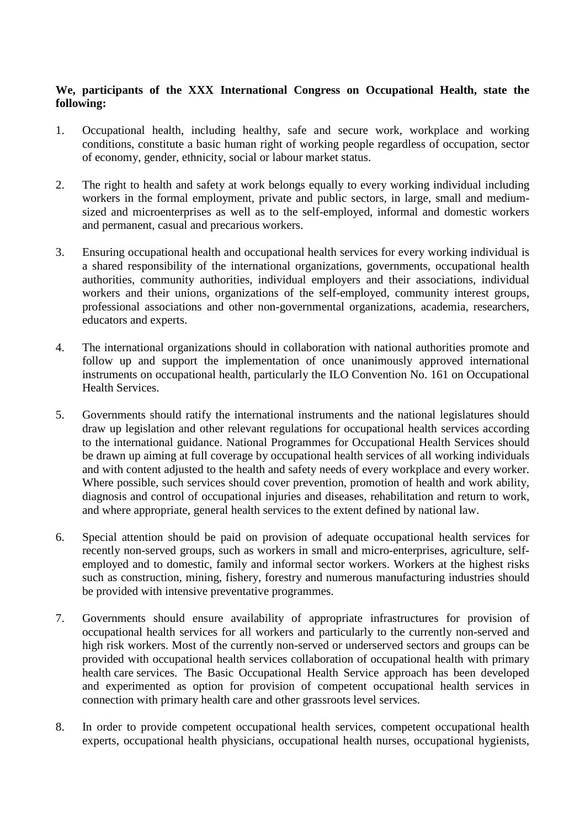## **We, participants of the XXX International Congress on Occupational Health, state the following:**

- 1. Occupational health, including healthy, safe and secure work, workplace and working conditions, constitute a basic human right of working people regardless of occupation, sector of economy, gender, ethnicity, social or labour market status.
- 2. The right to health and safety at work belongs equally to every working individual including workers in the formal employment, private and public sectors, in large, small and mediumsized and microenterprises as well as to the self-employed, informal and domestic workers and permanent, casual and precarious workers.
- 3. Ensuring occupational health and occupational health services for every working individual is a shared responsibility of the international organizations, governments, occupational health authorities, community authorities, individual employers and their associations, individual workers and their unions, organizations of the self-employed, community interest groups, professional associations and other non-governmental organizations, academia, researchers, educators and experts.
- 4. The international organizations should in collaboration with national authorities promote and follow up and support the implementation of once unanimously approved international instruments on occupational health, particularly the ILO Convention No. 161 on Occupational Health Services.
- 5. Governments should ratify the international instruments and the national legislatures should draw up legislation and other relevant regulations for occupational health services according to the international guidance. National Programmes for Occupational Health Services should be drawn up aiming at full coverage by occupational health services of all working individuals and with content adjusted to the health and safety needs of every workplace and every worker. Where possible, such services should cover prevention, promotion of health and work ability, diagnosis and control of occupational injuries and diseases, rehabilitation and return to work, and where appropriate, general health services to the extent defined by national law.
- 6. Special attention should be paid on provision of adequate occupational health services for recently non-served groups, such as workers in small and micro-enterprises, agriculture, selfemployed and to domestic, family and informal sector workers. Workers at the highest risks such as construction, mining, fishery, forestry and numerous manufacturing industries should be provided with intensive preventative programmes.
- 7. Governments should ensure availability of appropriate infrastructures for provision of occupational health services for all workers and particularly to the currently non-served and high risk workers. Most of the currently non-served or underserved sectors and groups can be provided with occupational health services collaboration of occupational health with primary health care services. The Basic Occupational Health Service approach has been developed and experimented as option for provision of competent occupational health services in connection with primary health care and other grassroots level services.
- 8. In order to provide competent occupational health services, competent occupational health experts, occupational health physicians, occupational health nurses, occupational hygienists,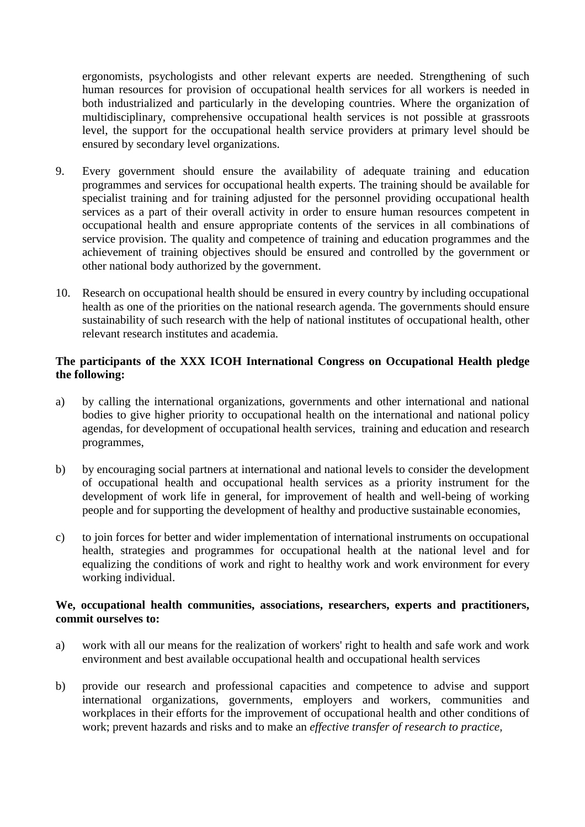ergonomists, psychologists and other relevant experts are needed. Strengthening of such human resources for provision of occupational health services for all workers is needed in both industrialized and particularly in the developing countries. Where the organization of multidisciplinary, comprehensive occupational health services is not possible at grassroots level, the support for the occupational health service providers at primary level should be ensured by secondary level organizations.

- 9. Every government should ensure the availability of adequate training and education programmes and services for occupational health experts. The training should be available for specialist training and for training adjusted for the personnel providing occupational health services as a part of their overall activity in order to ensure human resources competent in occupational health and ensure appropriate contents of the services in all combinations of service provision. The quality and competence of training and education programmes and the achievement of training objectives should be ensured and controlled by the government or other national body authorized by the government.
- 10. Research on occupational health should be ensured in every country by including occupational health as one of the priorities on the national research agenda. The governments should ensure sustainability of such research with the help of national institutes of occupational health, other relevant research institutes and academia.

## **The participants of the XXX ICOH International Congress on Occupational Health pledge the following:**

- a) by calling the international organizations, governments and other international and national bodies to give higher priority to occupational health on the international and national policy agendas, for development of occupational health services, training and education and research programmes,
- b) by encouraging social partners at international and national levels to consider the development of occupational health and occupational health services as a priority instrument for the development of work life in general, for improvement of health and well-being of working people and for supporting the development of healthy and productive sustainable economies,
- c) to join forces for better and wider implementation of international instruments on occupational health, strategies and programmes for occupational health at the national level and for equalizing the conditions of work and right to healthy work and work environment for every working individual.

## **We, occupational health communities, associations, researchers, experts and practitioners, commit ourselves to:**

- a) work with all our means for the realization of workers' right to health and safe work and work environment and best available occupational health and occupational health services
- b) provide our research and professional capacities and competence to advise and support international organizations, governments, employers and workers, communities and workplaces in their efforts for the improvement of occupational health and other conditions of work; prevent hazards and risks and to make an *effective transfer of research to practice,*